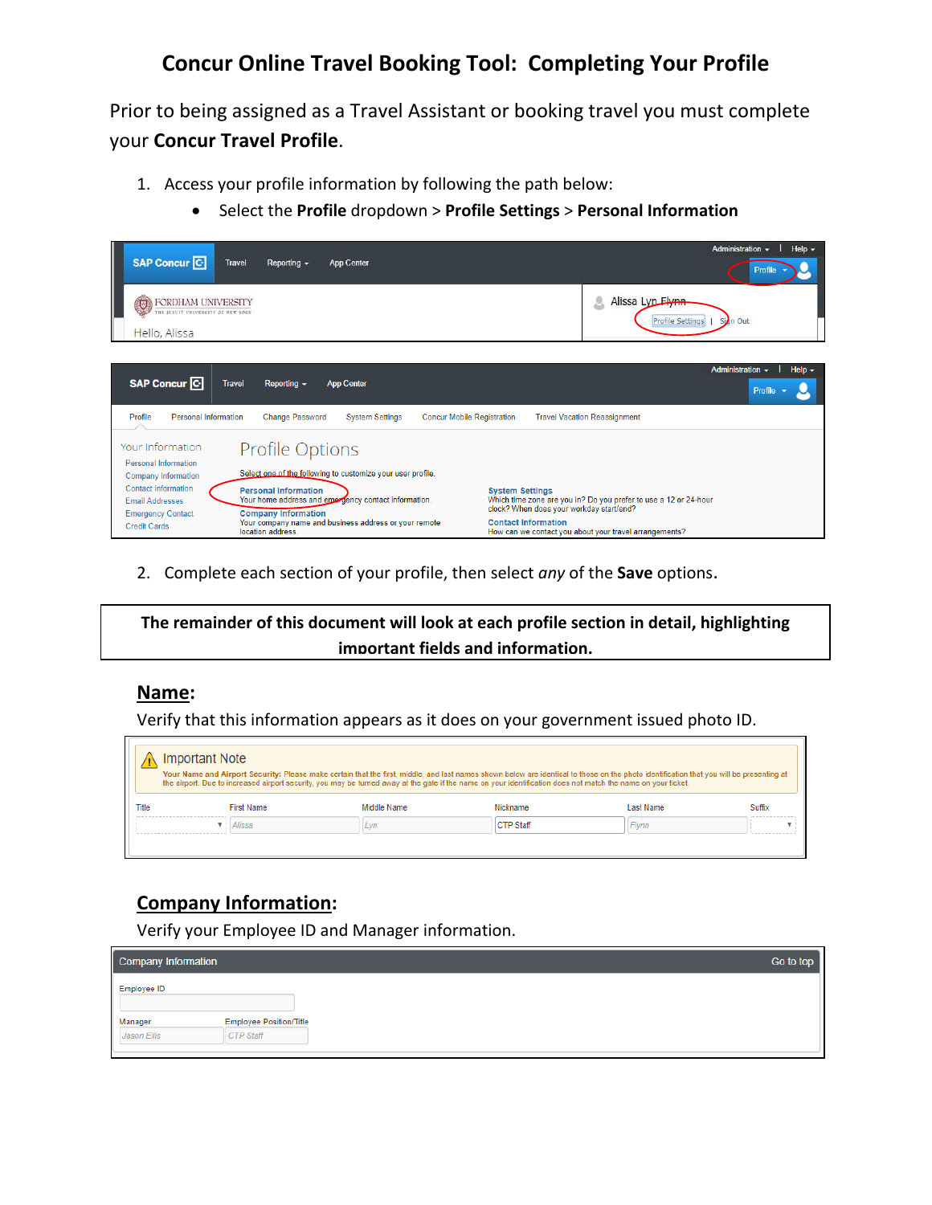# **Concur Online Travel Booking Tool: Completing Your Profile**

Prior to being assigned as a Travel Assistant or booking travel you must complete your **Concur Travel Profile**.

- 1. Access your profile information by following the path below:
	- Select the **Profile** dropdown > **Profile Settings** > **Personal Information**

| <b>SAP Concur C</b>                                                                                     | <b>Travel</b><br>Reporting -                                                   | App Center                                                                                                    |                                                                                                  | Administration -<br>Help $\sim$<br>Profile                                                                                 |
|---------------------------------------------------------------------------------------------------------|--------------------------------------------------------------------------------|---------------------------------------------------------------------------------------------------------------|--------------------------------------------------------------------------------------------------|----------------------------------------------------------------------------------------------------------------------------|
| FORDHAM UNIVERSITY<br>$\bigcirc$<br>THE JESUIT UNIVERSITY OF NEW YORK                                   |                                                                                |                                                                                                               |                                                                                                  | Alissa Lyn Elynn<br><b>Profile Settings</b><br>Sign Out                                                                    |
| Hello, Alissa                                                                                           |                                                                                |                                                                                                               |                                                                                                  |                                                                                                                            |
| <b>SAP Concur C</b>                                                                                     | <b>Travel</b><br>Reporting $\sim$                                              | <b>App Center</b>                                                                                             |                                                                                                  | Administration $\sim$<br>Help $\sim$<br>Profile                                                                            |
| <b>Personal Information</b><br>Profile                                                                  | <b>Change Password</b>                                                         | <b>System Settings</b>                                                                                        | <b>Concur Mobile Registration</b>                                                                | <b>Travel Vacation Reassignment</b>                                                                                        |
| Your Information<br>Personal Information<br>Company Information                                         | Profile Options                                                                | Select one of the following to customize your user profile.                                                   |                                                                                                  |                                                                                                                            |
| <b>Contact Information</b><br><b>Email Addresses</b><br><b>Emergency Contact</b><br><b>Credit Cards</b> | <b>Personal Information</b><br><b>Company Information</b><br>location address. | Your home address and emorgency contact information.<br>Your company name and business address or your remote | <b>System Settings</b><br>clock? When does your workday start/end?<br><b>Contact Information</b> | Which time zone are you in? Do you prefer to use a 12 or 24-hour<br>How can we contact you about your travel arrangements? |

2. Complete each section of your profile, then select *any* of the **Save** options.

**The remainder of this document will look at each profile section in detail, highlighting important fields and information.** 

#### **Name:**

Verify that this information appears as it does on your government issued photo ID.

|       | Important Note<br>Your Name and Airport Security: Please make certain that the first, middle, and last names shown below are identical to those on the photo identification that you will be presenting at<br>the airport. Due to increased airport security, you may be turned away at the gate if the name on your identification does not match the name on your ticket. |             |                  |                  |        |  |
|-------|-----------------------------------------------------------------------------------------------------------------------------------------------------------------------------------------------------------------------------------------------------------------------------------------------------------------------------------------------------------------------------|-------------|------------------|------------------|--------|--|
| Title | <b>First Name</b>                                                                                                                                                                                                                                                                                                                                                           | Middle Name | Nickname         | <b>Last Name</b> | Suffix |  |
|       | Alissa                                                                                                                                                                                                                                                                                                                                                                      |             | <b>CTP Staff</b> | Flynn            |        |  |
|       |                                                                                                                                                                                                                                                                                                                                                                             |             |                  |                  |        |  |

## **Company Information:**

Verify your Employee ID and Manager information.

| Company Information |                                | Go to top |
|---------------------|--------------------------------|-----------|
| Employee ID         |                                |           |
| Manager             | <b>Employee Position/Title</b> |           |
| Jason Ellis         | CTP Staff                      |           |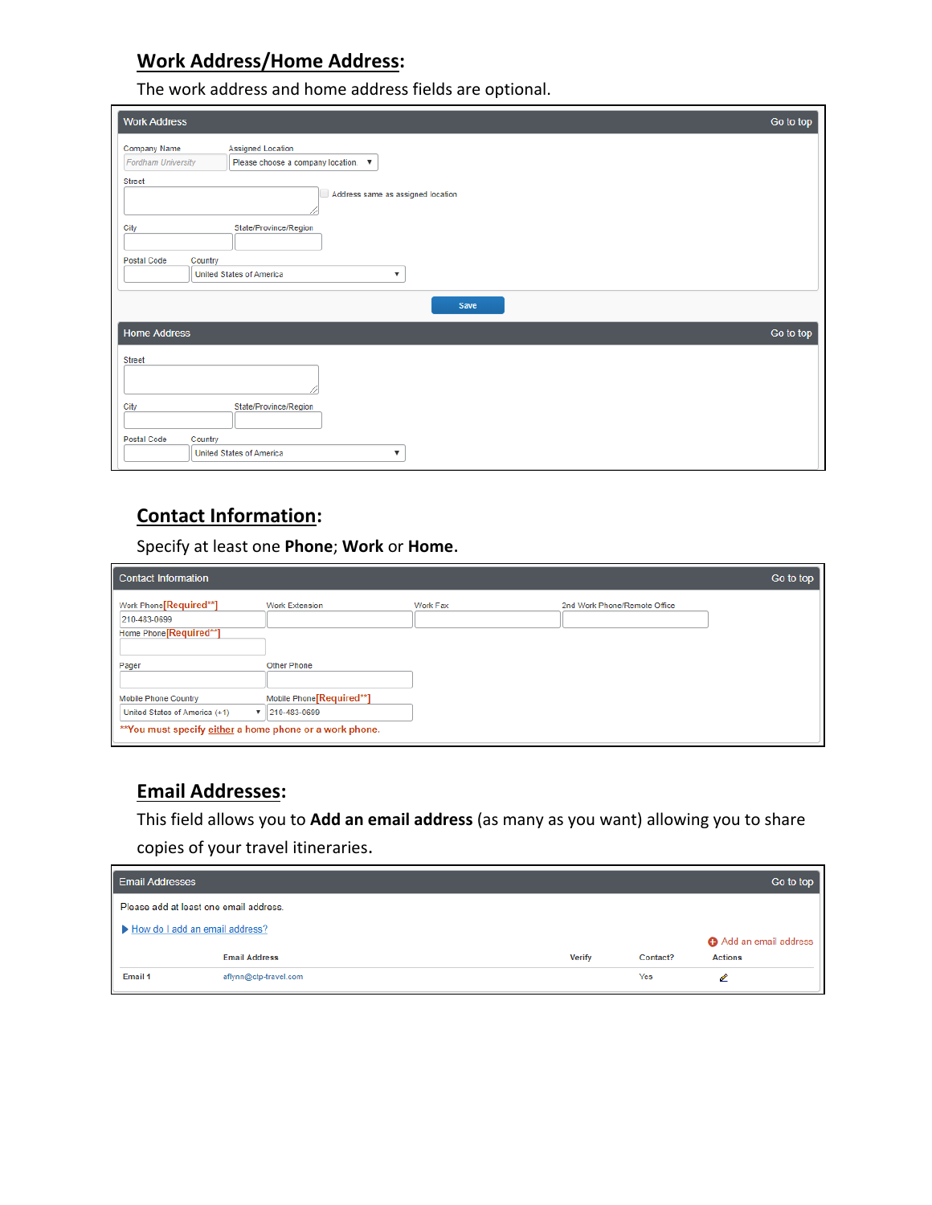## **Work Address/Home Address:**

The work address and home address fields are optional.

| <b>Work Address</b>                |                                                                 | Go to top |
|------------------------------------|-----------------------------------------------------------------|-----------|
| Company Name<br>Fordham University | <b>Assigned Location</b><br>Please choose a company location. ▼ |           |
| <b>Street</b>                      | Address same as assigned location                               |           |
| City                               | State/Province/Region                                           |           |
| <b>Postal Code</b><br>Country      | <b>United States of America</b><br>▼                            |           |
|                                    | Save                                                            |           |
| <b>Home Address</b>                |                                                                 | Go to top |
| <b>Street</b>                      |                                                                 |           |
| City                               | State/Province/Region                                           |           |
| <b>Postal Code</b><br>Country      | <b>United States of America</b><br>▼                            |           |

# **Contact Information:**

Specify at least one **Phone**; **Work** or **Home**.

| <b>Contact Information</b>                                                                                                    |                                           |          |                              | Go to top |
|-------------------------------------------------------------------------------------------------------------------------------|-------------------------------------------|----------|------------------------------|-----------|
| Work Phone[Required**]<br>210-483-0699<br>Home Phone [Required**]                                                             | <b>Work Extension</b>                     | Work Fax | 2nd Work Phone/Remote Office |           |
| Pager                                                                                                                         | <b>Other Phone</b>                        |          |                              |           |
| <b>Mobile Phone Country</b><br>United States of America (+1)<br>▼<br>** You must specify either a home phone or a work phone. | Mobile Phone [Required**]<br>210-483-0699 |          |                              |           |

### **Email Addresses:**

This field allows you to **Add an email address** (as many as you want) allowing you to share copies of your travel itineraries.

| <b>Email Addresses</b>                 |                       |  |               |          | Go to top            |
|----------------------------------------|-----------------------|--|---------------|----------|----------------------|
| Please add at least one email address. |                       |  |               |          |                      |
| How do I add an email address?         |                       |  |               |          | Add an email address |
|                                        | <b>Email Address</b>  |  | <b>Verify</b> | Contact? | <b>Actions</b>       |
| Email 1                                | aflynn@ctp-travel.com |  |               | Yes      | ℐ                    |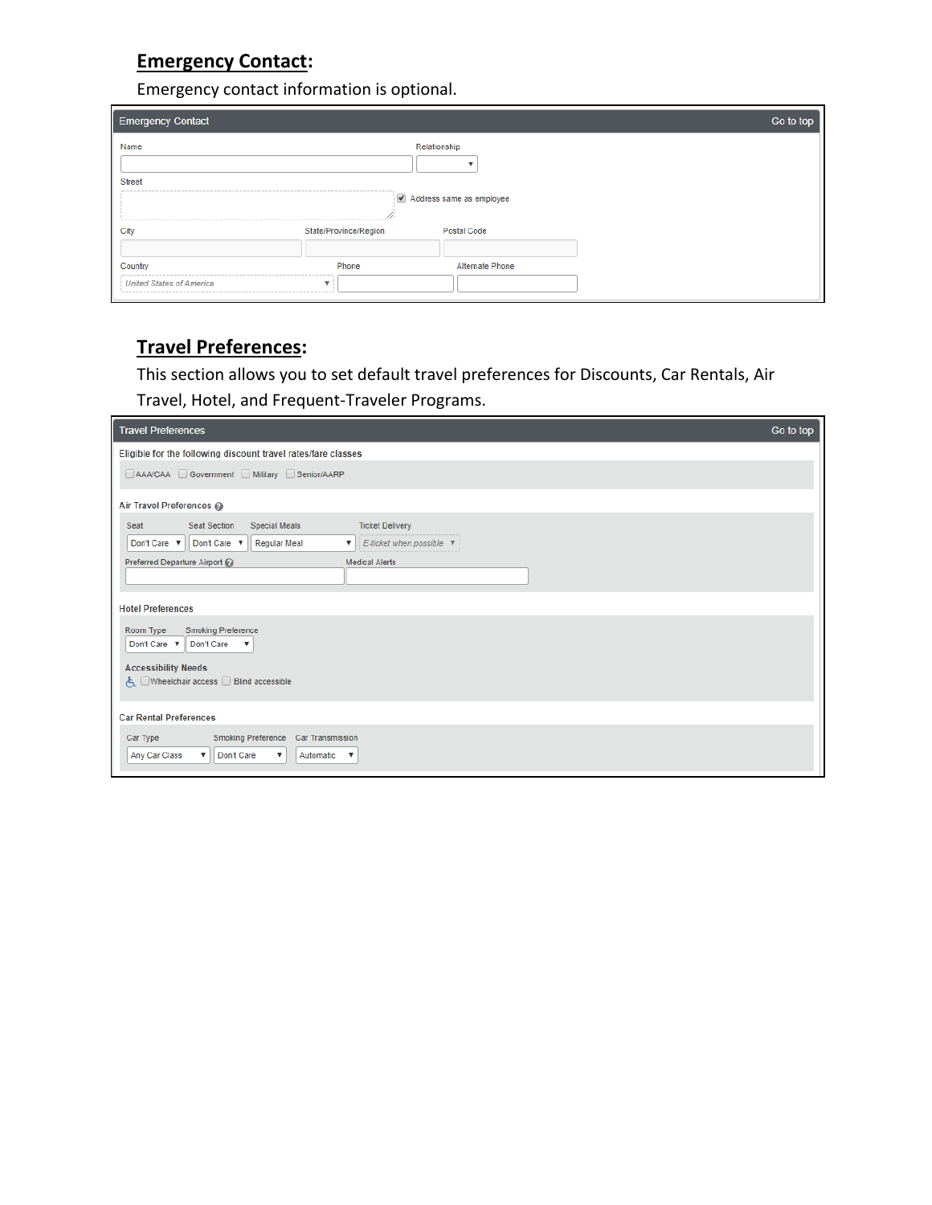# **Emergency Contact:**

Emergency contact information is optional.

| <b>Emergency Contact</b>        |                       |                          | Go to top |
|---------------------------------|-----------------------|--------------------------|-----------|
| Name                            |                       | Relationship             |           |
| <b>Street</b>                   |                       |                          |           |
| The part was the top            |                       | Address same as employee |           |
| City                            | State/Province/Region | <b>Postal Code</b>       |           |
| Country                         | Phone                 | Alternate Phone          |           |
| <b>United States of America</b> |                       |                          |           |

# **Travel Preferences:**

This section allows you to set default travel preferences for Discounts, Car Rentals, Air Travel, Hotel, and Frequent-Traveler Programs.

| <b>Travel Preferences</b>                                                                                                                                      | Go to top |
|----------------------------------------------------------------------------------------------------------------------------------------------------------------|-----------|
| Eligible for the following discount travel rates/fare classes                                                                                                  |           |
| AAA/CAA Government Military Senior/AARP                                                                                                                        |           |
| Air Travel Preferences                                                                                                                                         |           |
| <b>Seat Section</b><br><b>Ticket Delivery</b><br><b>Special Meals</b><br>Seat                                                                                  |           |
| Don't Care ▼    Don't Care ▼<br><b>Regular Meal</b><br>E-ticket when possible ▼<br>$\boldsymbol{\mathrm{v}}$                                                   |           |
| Preferred Departure Airport (2)<br><b>Medical Alerts</b>                                                                                                       |           |
| <b>Hotel Preferences</b>                                                                                                                                       |           |
| <b>Smoking Preference</b><br>Room Type<br>Don't Care ▼ Don't Care<br>▼                                                                                         |           |
| <b>Accessibility Needs</b><br>√、□Wheelchair access □ Blind accessible                                                                                          |           |
| <b>Car Rental Preferences</b>                                                                                                                                  |           |
| Smoking Preference Car Transmission<br>Car Type<br>Any Car Class<br>Don't Care<br>Automatic <b>v</b><br>$\boldsymbol{\mathrm{v}}$<br>$\boldsymbol{\mathrm{v}}$ |           |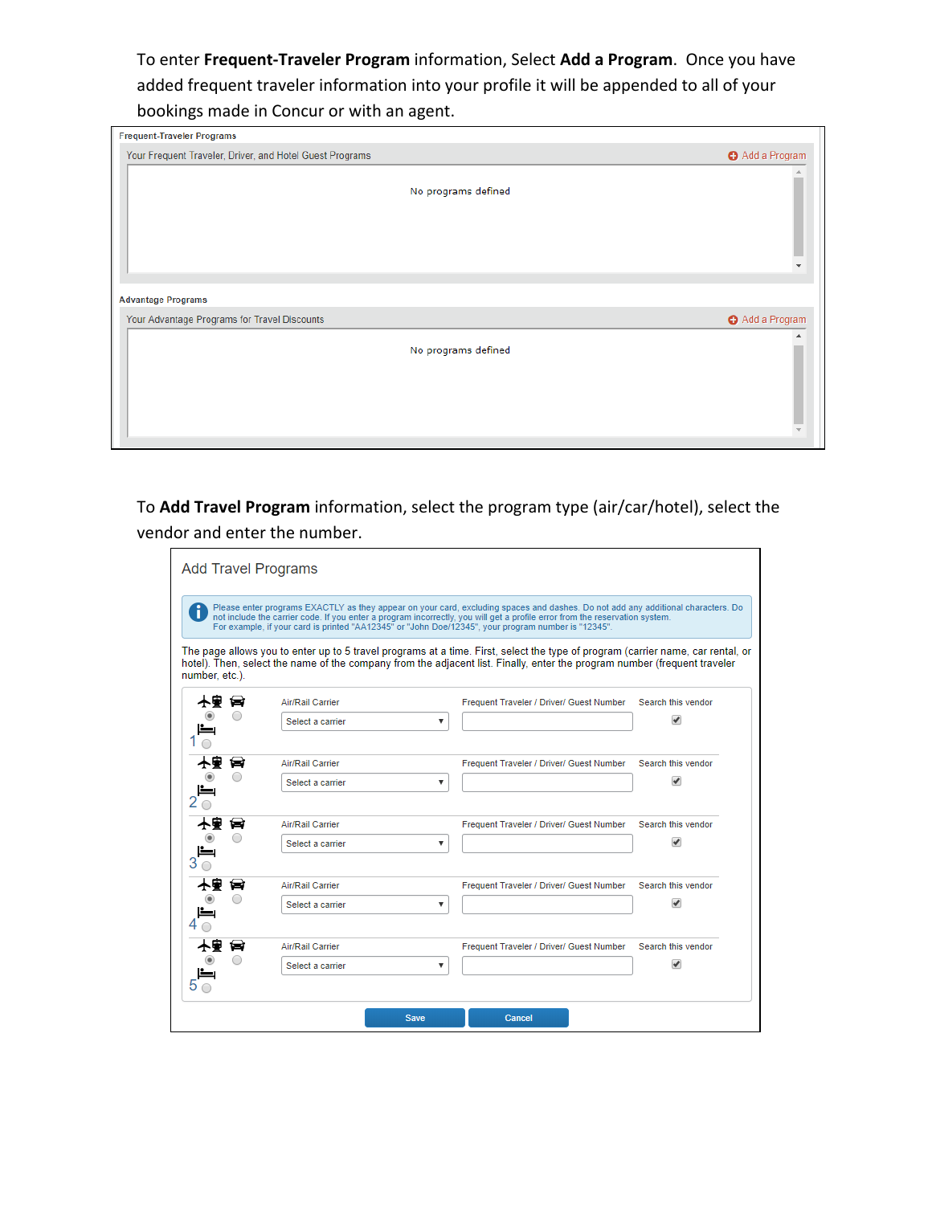To enter **Frequent-Traveler Program** information, Select **Add a Program**. Once you have added frequent traveler information into your profile it will be appended to all of your bookings made in Concur or with an agent.

| <b>Frequent-Traveler Programs</b>                        |               |
|----------------------------------------------------------|---------------|
| Your Frequent Traveler, Driver, and Hotel Guest Programs | Add a Program |
|                                                          |               |
| No programs defined                                      |               |
|                                                          |               |
|                                                          |               |
|                                                          |               |
|                                                          |               |
|                                                          |               |
| <b>Advantage Programs</b>                                |               |
| Your Advantage Programs for Travel Discounts             | Add a Program |
|                                                          |               |
| No programs defined                                      |               |
|                                                          |               |
|                                                          |               |
|                                                          |               |
|                                                          |               |

To **Add Travel Program** information, select the program type (air/car/hotel), select the vendor and enter the number.

|                |                  | Please enter programs EXACTLY as they appear on your card, excluding spaces and dashes. Do not add any additional characters. Do<br>not include the carrier code. If you enter a program incorrectly, you will get a profile error from the reservation system.<br>For example, if your card is printed "AA12345" or "John Doe/12345", your program number is "12345". |  |
|----------------|------------------|------------------------------------------------------------------------------------------------------------------------------------------------------------------------------------------------------------------------------------------------------------------------------------------------------------------------------------------------------------------------|--|
| number, etc.). |                  | The page allows you to enter up to 5 travel programs at a time. First, select the type of program (carrier name, car rental, or<br>hotel). Then, select the name of the company from the adjacent list. Finally, enter the program number (frequent traveler                                                                                                           |  |
| ★₩<br>⇔        | Air/Rail Carrier | Frequent Traveler / Driver/ Guest Number<br>Search this vendor                                                                                                                                                                                                                                                                                                         |  |
|                | Select a carrier | ✔<br>▼                                                                                                                                                                                                                                                                                                                                                                 |  |
| ₩              | Air/Rail Carrier | Search this vendor<br>Frequent Traveler / Driver/ Guest Number                                                                                                                                                                                                                                                                                                         |  |
|                | Select a carrier | ی<br>▼                                                                                                                                                                                                                                                                                                                                                                 |  |
| tar            | Air/Rail Carrier | Search this vendor<br>Frequent Traveler / Driver/ Guest Number                                                                                                                                                                                                                                                                                                         |  |
|                | Select a carrier | v<br>$\boldsymbol{\mathrm{v}}$                                                                                                                                                                                                                                                                                                                                         |  |
| نعا            | Air/Rail Carrier | Search this vendor<br>Frequent Traveler / Driver/ Guest Number                                                                                                                                                                                                                                                                                                         |  |
|                | Select a carrier | ہ<br>▼                                                                                                                                                                                                                                                                                                                                                                 |  |
| Ъ              | Air/Rail Carrier | Frequent Traveler / Driver/ Guest Number<br>Search this vendor                                                                                                                                                                                                                                                                                                         |  |
|                | Select a carrier | $\overline{\mathcal{C}}$<br>$\boldsymbol{\mathrm{v}}$                                                                                                                                                                                                                                                                                                                  |  |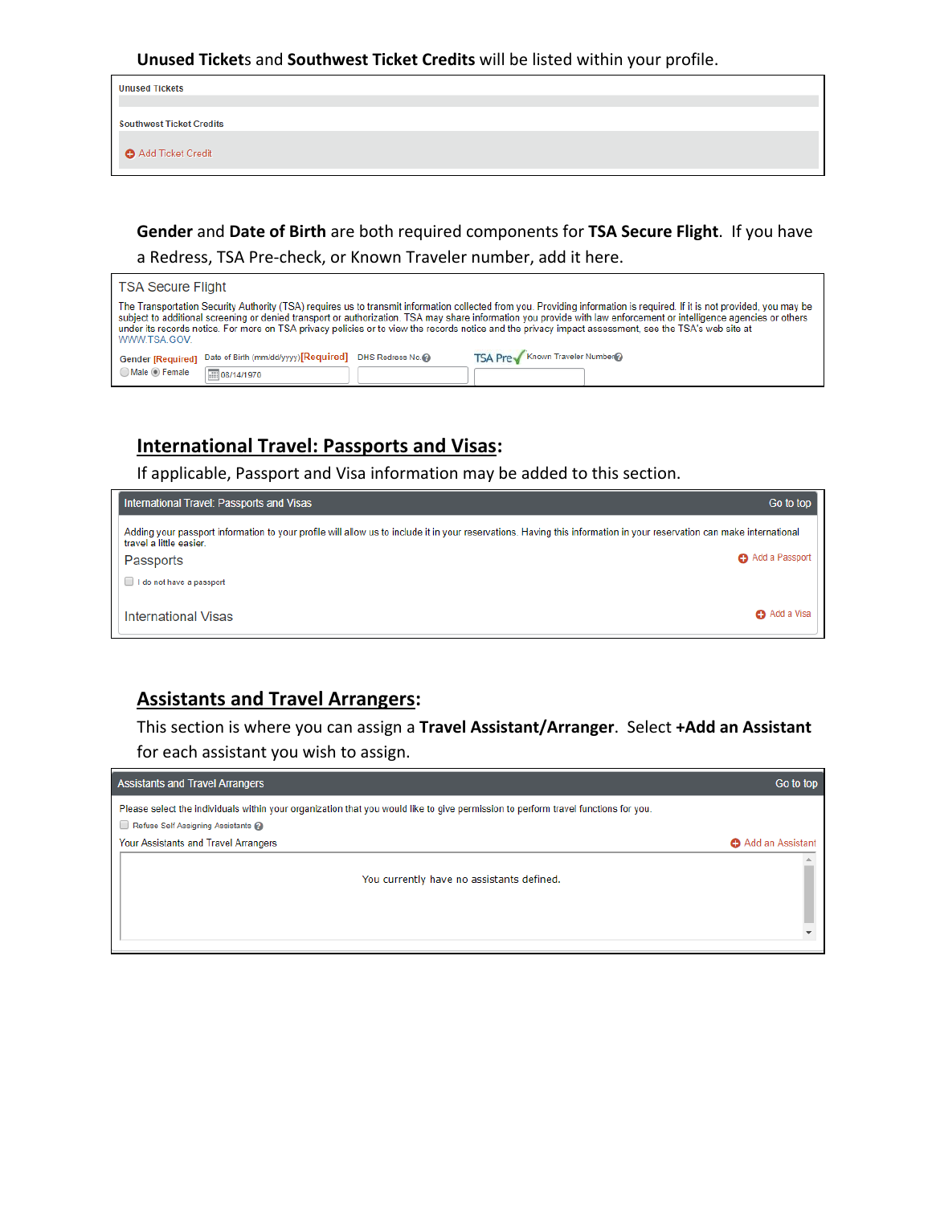#### **Unused Ticket**s and **Southwest Ticket Credits** will be listed within your profile.

| <b>Unused Tickets</b>    |  |
|--------------------------|--|
|                          |  |
| Southwest Ticket Credits |  |
| Add Ticket Credit        |  |

## **Gender** and **Date of Birth** are both required components for **TSA Secure Flight**. If you have a Redress, TSA Pre-check, or Known Traveler number, add it here.

| <b>TSA Secure Flight</b>                                                                                                                                              |                                                                                                                                                                                                                                                                                                                                                 |
|-----------------------------------------------------------------------------------------------------------------------------------------------------------------------|-------------------------------------------------------------------------------------------------------------------------------------------------------------------------------------------------------------------------------------------------------------------------------------------------------------------------------------------------|
| under its records notice. For more on TSA privacy policies or to view the records notice and the privacy impact assessment, see the TSA's web site at<br>WWW.TSA.GOV. | The Transportation Security Authority (TSA) requires us to transmit information collected from you. Providing information is required. If it is not provided, you may be<br>subject to additional screening or denied transport or authorization. TSA may share information you provide with law enforcement or intelligence agencies or others |
| Date of Birth (mm/dd/yyyy) [Required] DHS Redress No.<br><b>Gender [Required]</b>                                                                                     | TSA Prev Known Traveler Number                                                                                                                                                                                                                                                                                                                  |
| Male <b>Female</b><br>111 08/14/1970                                                                                                                                  |                                                                                                                                                                                                                                                                                                                                                 |

## **International Travel: Passports and Visas:**

If applicable, Passport and Visa information may be added to this section.

| International Travel: Passports and Visas                                                                                                                                                        | Go to top      |
|--------------------------------------------------------------------------------------------------------------------------------------------------------------------------------------------------|----------------|
| Adding your passport information to your profile will allow us to include it in your reservations. Having this information in your reservation can make international<br>travel a little easier. |                |
| Passports                                                                                                                                                                                        | Add a Passport |
| $\Box$ I do not have a passport                                                                                                                                                                  |                |
| International Visas                                                                                                                                                                              | Add a Visa     |

### **Assistants and Travel Arrangers:**

This section is where you can assign a **Travel Assistant/Arranger**. Select **+Add an Assistant**  for each assistant you wish to assign.